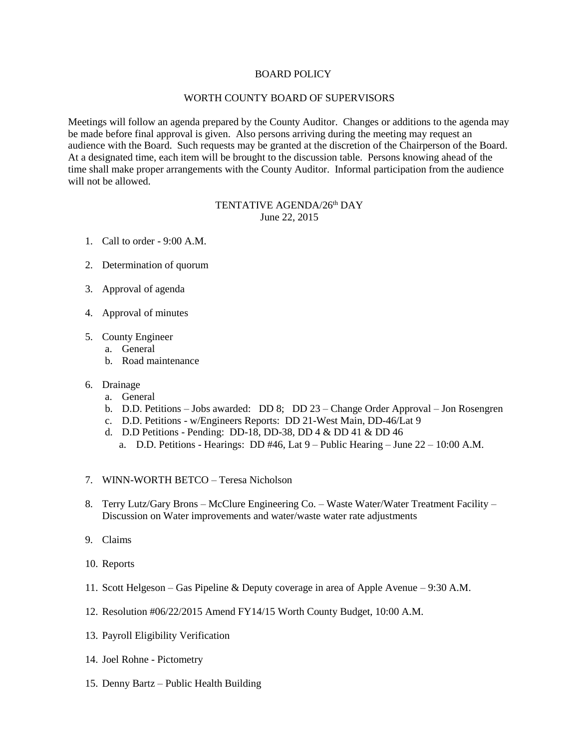## BOARD POLICY

## WORTH COUNTY BOARD OF SUPERVISORS

Meetings will follow an agenda prepared by the County Auditor. Changes or additions to the agenda may be made before final approval is given. Also persons arriving during the meeting may request an audience with the Board. Such requests may be granted at the discretion of the Chairperson of the Board. At a designated time, each item will be brought to the discussion table. Persons knowing ahead of the time shall make proper arrangements with the County Auditor. Informal participation from the audience will not be allowed.

## TENTATIVE AGENDA/26<sup>th</sup> DAY June 22, 2015

- 1. Call to order 9:00 A.M.
- 2. Determination of quorum
- 3. Approval of agenda
- 4. Approval of minutes
- 5. County Engineer
	- a. General
	- b. Road maintenance
- 6. Drainage
	- a. General
	- b. D.D. Petitions Jobs awarded: DD 8; DD 23 Change Order Approval Jon Rosengren
	- c. D.D. Petitions w/Engineers Reports: DD 21-West Main, DD-46/Lat 9
	- d. D.D Petitions Pending: DD-18, DD-38, DD 4 & DD 41 & DD 46
		- a. D.D. Petitions Hearings: DD #46, Lat  $9$  Public Hearing June  $22 10:00$  A.M.
- 7. WINN-WORTH BETCO Teresa Nicholson
- 8. Terry Lutz/Gary Brons McClure Engineering Co. Waste Water/Water Treatment Facility Discussion on Water improvements and water/waste water rate adjustments
- 9. Claims
- 10. Reports
- 11. Scott Helgeson Gas Pipeline & Deputy coverage in area of Apple Avenue 9:30 A.M.
- 12. Resolution #06/22/2015 Amend FY14/15 Worth County Budget, 10:00 A.M.
- 13. Payroll Eligibility Verification
- 14. Joel Rohne Pictometry
- 15. Denny Bartz Public Health Building